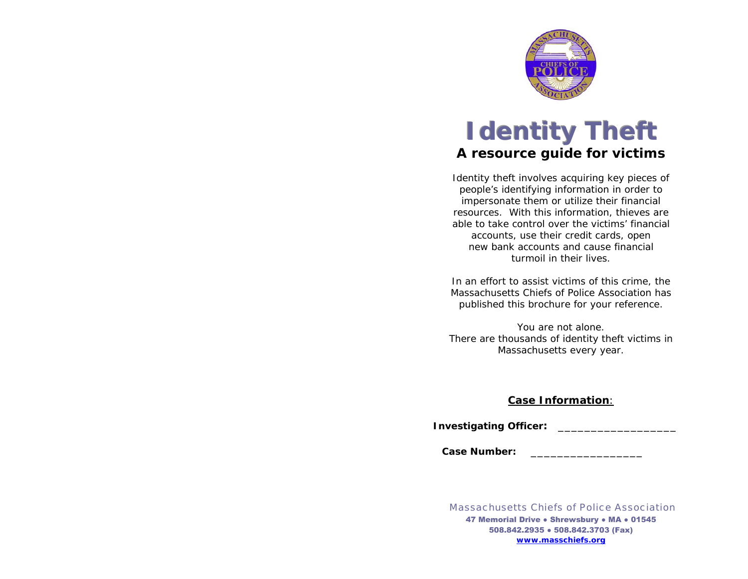

# *l* dentity Theft *A resource guide for victims*

Identity theft involves acquiring key pieces of people's identifying information in order to impersonate them or utilize their financial resources. With this information, thieves are able to take control over the victims' financial accounts, use their credit cards, open new bank accounts and cause financial turmoil in their lives.

In an effort to assist victims of this crime, the Massachusetts Chiefs of Police Association has published this brochure for your reference.

You are not alone. There are thousands of identity theft victims in Massachusetts every year.

## **Case Information**:

**Investigating Officer:** \_\_\_\_\_\_\_\_\_\_\_\_\_\_\_\_\_\_

**Case Number:** \_\_\_\_\_\_\_\_\_\_\_\_\_\_\_\_\_

*Massachusetts Chiefs of Police Association*47 Memorial Drive • Shrewsbury • MA • 01545 508.842.2935 ● 508.842.3703 (Fax) **www.masschiefs.org**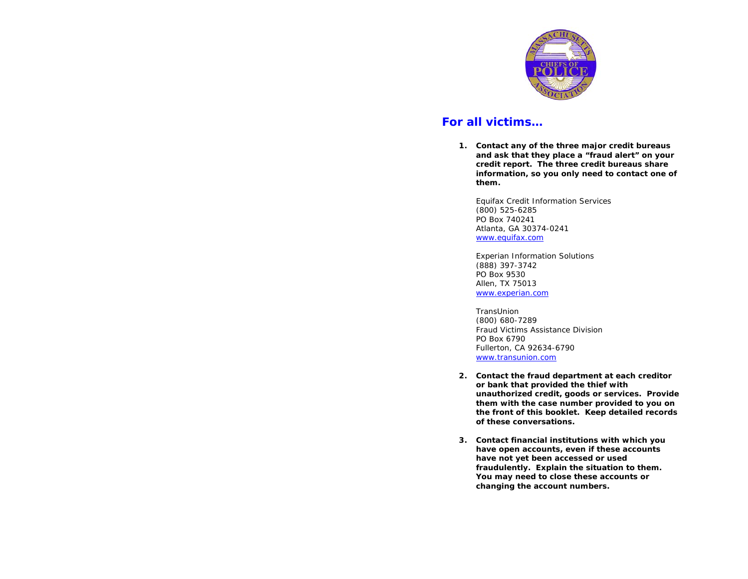

## *For all victims…*

**1. Contact any of the three major credit bureaus and ask that they place a "fraud alert" on your credit report. The three credit bureaus share information, so you only need to contact one of them.** 

Equifax Credit Information Services (800) 525-6285 PO Box 740241 Atlanta, GA 30374-0241 [www.equifax.com](http://www.equifax.com/)

Experian Information Solutions (888) 397-3742 PO Box 9530 Allen, TX 75013 [www.experian.com](http://www.experian.com/)

**TransUnion** (800) 680-7289 Fraud Victims Assistance Division PO Box 6790 Fullerton, CA 92634-6790 [www.transunion.com](http://www.transunion.com/)

- **2. Contact the fraud department at each creditor or bank that provided the thief with unauthorized credit, goods or services. Provide them with the case number provided to you on the front of this booklet. Keep detailed records of these conversations.**
- **3. Contact financial institutions with which you have open accounts, even if these accounts have not yet been accessed or used fraudulently. Explain the situation to them. You may need to close these accounts or changing the account numbers.**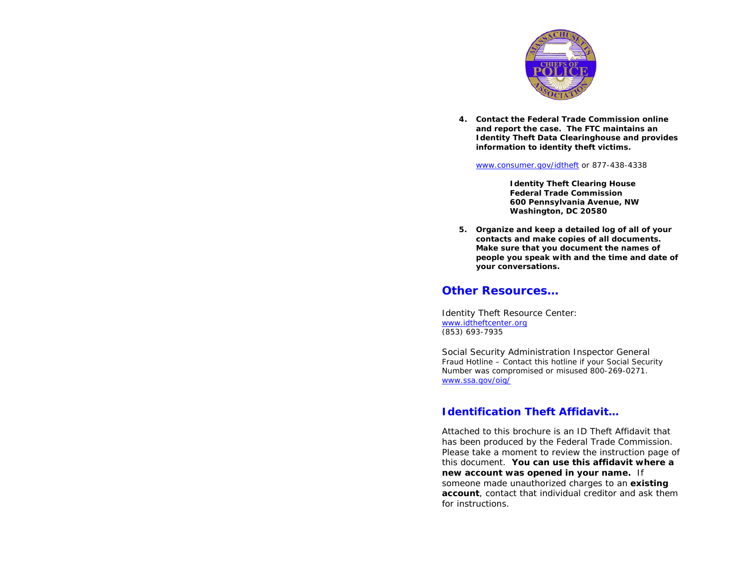

**4. Contact the Federal Trade Commission online and report the case. The FTC maintains an Identity Theft Data Clearinghouse and provides information to identity theft victims.** 

[www.consumer.gov/idtheft](http://www.consumer.gov/idtheft) or 877-438-4338

**Identity Theft Clearing House Federal Trade Commission 600 Pennsylvania Avenue, NW Washington, DC 20580** 

**5. Organize and keep a detailed log of all of your contacts and make copies of all documents. Make sure that you document the names of people you speak with and the time and date of your conversations.** 

#### *Other Resources…*

Identity Theft Resource Center: [www.idtheftcenter.org](http://www.idtheftcenter.org/) (853) 693-7935

Social Security Administration Inspector General Fraud Hotline – Contact this hotline if your Social Security Number was compromised or misused 800-269-0271. [www.ssa.gov](http://www.ssa.gov/)/oig/

### *Identification Theft Affidavit…*

Attached to this brochure is an ID Theft Affidavit that has been produced by the Federal Trade Commission. Please take a moment to review the instruction page of this document. *You can use this affidavit where a new account was opened in your name.* If someone made unauthorized charges to an **existing account**, contact that individual creditor and ask them for instructions.